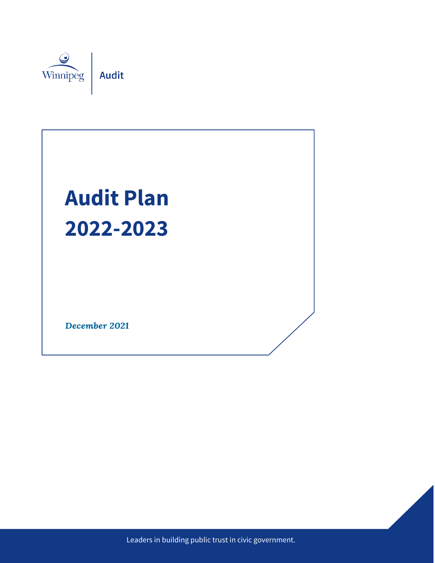

# **Audit Plan 2022-2023**

December 2021

Leaders in building public trust in civic government.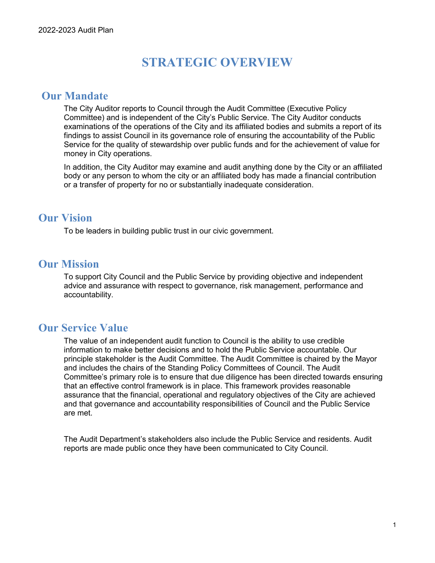## **STRATEGIC OVERVIEW**

#### **Our Mandate**

The City Auditor reports to Council through the Audit Committee (Executive Policy Committee) and is independent of the City's Public Service. The City Auditor conducts examinations of the operations of the City and its affiliated bodies and submits a report of its findings to assist Council in its governance role of ensuring the accountability of the Public Service for the quality of stewardship over public funds and for the achievement of value for money in City operations.

In addition, the City Auditor may examine and audit anything done by the City or an affiliated body or any person to whom the city or an affiliated body has made a financial contribution or a transfer of property for no or substantially inadequate consideration.

#### **Our Vision**

To be leaders in building public trust in our civic government.

#### **Our Mission**

To support City Council and the Public Service by providing objective and independent advice and assurance with respect to governance, risk management, performance and accountability.

#### **Our Service Value**

The value of an independent audit function to Council is the ability to use credible information to make better decisions and to hold the Public Service accountable. Our principle stakeholder is the Audit Committee. The Audit Committee is chaired by the Mayor and includes the chairs of the Standing Policy Committees of Council. The Audit Committee's primary role is to ensure that due diligence has been directed towards ensuring that an effective control framework is in place. This framework provides reasonable assurance that the financial, operational and regulatory objectives of the City are achieved and that governance and accountability responsibilities of Council and the Public Service are met.

The Audit Department's stakeholders also include the Public Service and residents. Audit reports are made public once they have been communicated to City Council.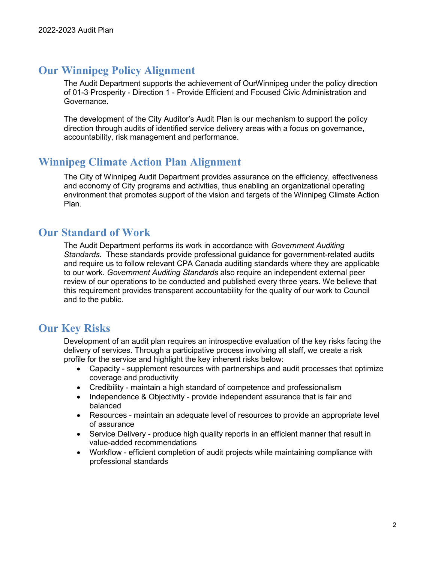## **Our Winnipeg Policy Alignment**

The Audit Department supports the achievement of OurWinnipeg under the policy direction of 01-3 Prosperity - Direction 1 - Provide Efficient and Focused Civic Administration and Governance.

The development of the City Auditor's Audit Plan is our mechanism to support the policy direction through audits of identified service delivery areas with a focus on governance, accountability, risk management and performance.

#### **Winnipeg Climate Action Plan Alignment**

The City of Winnipeg Audit Department provides assurance on the efficiency, effectiveness and economy of City programs and activities, thus enabling an organizational operating environment that promotes support of the vision and targets of the Winnipeg Climate Action Plan.

#### **Our Standard of Work**

The Audit Department performs its work in accordance with *Government Auditing Standards*. These standards provide professional guidance for government-related audits and require us to follow relevant CPA Canada auditing standards where they are applicable to our work. *Government Auditing Standards* also require an independent external peer review of our operations to be conducted and published every three years. We believe that this requirement provides transparent accountability for the quality of our work to Council and to the public.

## **Our Key Risks**

Development of an audit plan requires an introspective evaluation of the key risks facing the delivery of services. Through a participative process involving all staff, we create a risk profile for the service and highlight the key inherent risks below:

- Capacity supplement resources with partnerships and audit processes that optimize coverage and productivity
- Credibility maintain a high standard of competence and professionalism
- Independence & Objectivity provide independent assurance that is fair and balanced
- Resources maintain an adequate level of resources to provide an appropriate level of assurance
- Service Delivery produce high quality reports in an efficient manner that result in value-added recommendations
- Workflow efficient completion of audit projects while maintaining compliance with professional standards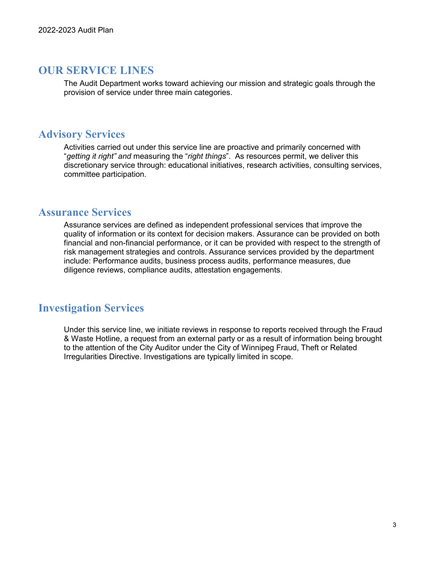#### **OUR SERVICE LINES**

The Audit Department works toward achieving our mission and strategic goals through the provision of service under three main categories.

#### **Advisory Services**

Activities carried out under this service line are proactive and primarily concerned with "*getting it right" and* measuring the "*right things*". As resources permit, we deliver this discretionary service through: educational initiatives, research activities, consulting services, committee participation.

#### **Assurance Services**

Assurance services are defined as independent professional services that improve the quality of information or its context for decision makers. Assurance can be provided on both financial and non-financial performance, or it can be provided with respect to the strength of risk management strategies and controls. Assurance services provided by the department include: Performance audits, business process audits, performance measures, due diligence reviews, compliance audits, attestation engagements.

#### **Investigation Services**

Under this service line, we initiate reviews in response to reports received through the Fraud & Waste Hotline, a request from an external party or as a result of information being brought to the attention of the City Auditor under the City of Winnipeg Fraud, Theft or Related Irregularities Directive. Investigations are typically limited in scope.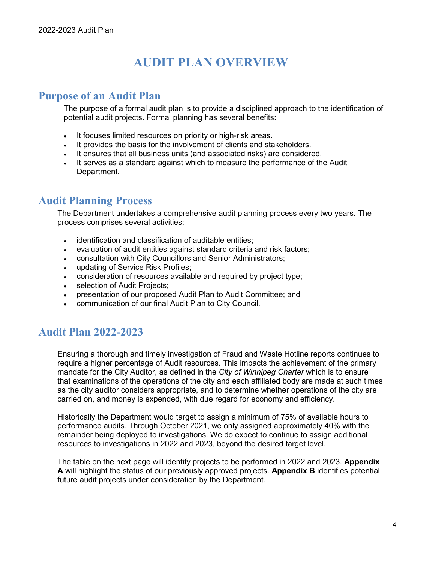# **AUDIT PLAN OVERVIEW**

#### **Purpose of an Audit Plan**

The purpose of a formal audit plan is to provide a disciplined approach to the identification of potential audit projects. Formal planning has several benefits:

- It focuses limited resources on priority or high-risk areas.
- It provides the basis for the involvement of clients and stakeholders.
- It ensures that all business units (and associated risks) are considered.
- It serves as a standard against which to measure the performance of the Audit Department.

### **Audit Planning Process**

The Department undertakes a comprehensive audit planning process every two years. The process comprises several activities:

- identification and classification of auditable entities;
- evaluation of audit entities against standard criteria and risk factors;
- consultation with City Councillors and Senior Administrators;
- updating of Service Risk Profiles;
- consideration of resources available and required by project type;
- selection of Audit Projects;
- presentation of our proposed Audit Plan to Audit Committee; and
- communication of our final Audit Plan to City Council.

## **Audit Plan 2022-2023**

Ensuring a thorough and timely investigation of Fraud and Waste Hotline reports continues to require a higher percentage of Audit resources. This impacts the achievement of the primary mandate for the City Auditor, as defined in the *City of Winnipeg Charter* which is to ensure that examinations of the operations of the city and each affiliated body are made at such times as the city auditor considers appropriate, and to determine whether operations of the city are carried on, and money is expended, with due regard for economy and efficiency.

Historically the Department would target to assign a minimum of 75% of available hours to performance audits. Through October 2021, we only assigned approximately 40% with the remainder being deployed to investigations. We do expect to continue to assign additional resources to investigations in 2022 and 2023, beyond the desired target level.

The table on the next page will identify projects to be performed in 2022 and 2023. **Appendix A** will highlight the status of our previously approved projects. **Appendix B** identifies potential future audit projects under consideration by the Department.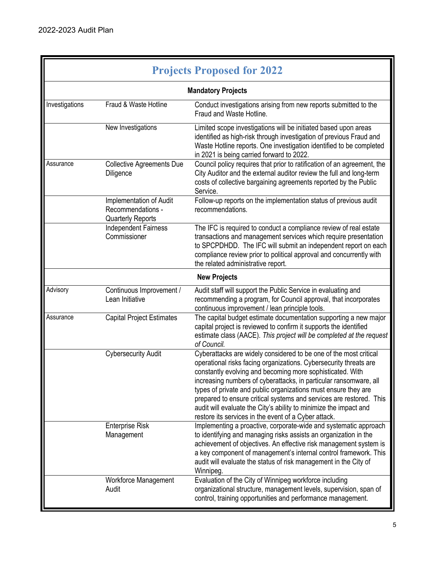r

| <b>Projects Proposed for 2022</b> |                                                                          |                                                                                                                                                                                                                                                                                                                                                                                                                                                                                                                                                |  |  |
|-----------------------------------|--------------------------------------------------------------------------|------------------------------------------------------------------------------------------------------------------------------------------------------------------------------------------------------------------------------------------------------------------------------------------------------------------------------------------------------------------------------------------------------------------------------------------------------------------------------------------------------------------------------------------------|--|--|
| <b>Mandatory Projects</b>         |                                                                          |                                                                                                                                                                                                                                                                                                                                                                                                                                                                                                                                                |  |  |
| Investigations                    | Fraud & Waste Hotline                                                    | Conduct investigations arising from new reports submitted to the<br>Fraud and Waste Hotline.                                                                                                                                                                                                                                                                                                                                                                                                                                                   |  |  |
|                                   | New Investigations                                                       | Limited scope investigations will be initiated based upon areas<br>identified as high-risk through investigation of previous Fraud and<br>Waste Hotline reports. One investigation identified to be completed<br>in 2021 is being carried forward to 2022.                                                                                                                                                                                                                                                                                     |  |  |
| Assurance                         | <b>Collective Agreements Due</b><br>Diligence                            | Council policy requires that prior to ratification of an agreement, the<br>City Auditor and the external auditor review the full and long-term<br>costs of collective bargaining agreements reported by the Public<br>Service.                                                                                                                                                                                                                                                                                                                 |  |  |
|                                   | Implementation of Audit<br>Recommendations -<br><b>Quarterly Reports</b> | Follow-up reports on the implementation status of previous audit<br>recommendations.                                                                                                                                                                                                                                                                                                                                                                                                                                                           |  |  |
|                                   | Independent Fairness<br>Commissioner                                     | The IFC is required to conduct a compliance review of real estate<br>transactions and management services which require presentation<br>to SPCPDHDD. The IFC will submit an independent report on each<br>compliance review prior to political approval and concurrently with<br>the related administrative report.                                                                                                                                                                                                                            |  |  |
|                                   |                                                                          | <b>New Projects</b>                                                                                                                                                                                                                                                                                                                                                                                                                                                                                                                            |  |  |
| Advisory                          | Continuous Improvement /<br>Lean Initiative                              | Audit staff will support the Public Service in evaluating and<br>recommending a program, for Council approval, that incorporates<br>continuous improvement / lean principle tools.                                                                                                                                                                                                                                                                                                                                                             |  |  |
| Assurance                         | <b>Capital Project Estimates</b>                                         | The capital budget estimate documentation supporting a new major<br>capital project is reviewed to confirm it supports the identified<br>estimate class (AACE). This project will be completed at the request<br>of Council.                                                                                                                                                                                                                                                                                                                   |  |  |
|                                   | <b>Cybersecurity Audit</b>                                               | Cyberattacks are widely considered to be one of the most critical<br>operational risks facing organizations. Cybersecurity threats are<br>constantly evolving and becoming more sophisticated. With<br>increasing numbers of cyberattacks, in particular ransomware, all<br>types of private and public organizations must ensure they are<br>prepared to ensure critical systems and services are restored. This<br>audit will evaluate the City's ability to minimize the impact and<br>restore its services in the event of a Cyber attack. |  |  |
|                                   | <b>Enterprise Risk</b><br>Management                                     | Implementing a proactive, corporate-wide and systematic approach<br>to identifying and managing risks assists an organization in the<br>achievement of objectives. An effective risk management system is<br>a key component of management's internal control framework. This<br>audit will evaluate the status of risk management in the City of<br>Winnipeg.                                                                                                                                                                                 |  |  |
|                                   | Workforce Management<br>Audit                                            | Evaluation of the City of Winnipeg workforce including<br>organizational structure, management levels, supervision, span of<br>control, training opportunities and performance management.                                                                                                                                                                                                                                                                                                                                                     |  |  |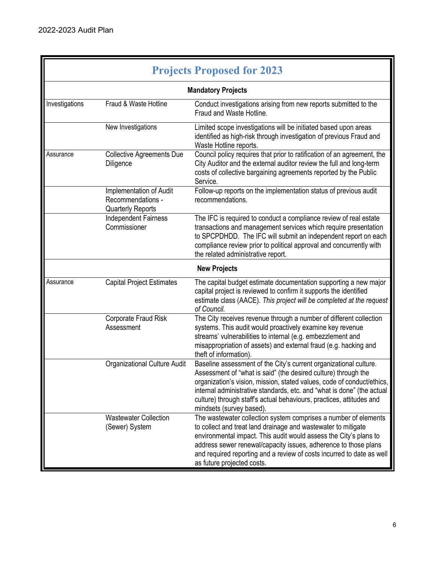r

| <b>Projects Proposed for 2023</b> |                                                                          |                                                                                                                                                                                                                                                                                                                                                                                             |  |  |
|-----------------------------------|--------------------------------------------------------------------------|---------------------------------------------------------------------------------------------------------------------------------------------------------------------------------------------------------------------------------------------------------------------------------------------------------------------------------------------------------------------------------------------|--|--|
| <b>Mandatory Projects</b>         |                                                                          |                                                                                                                                                                                                                                                                                                                                                                                             |  |  |
| Investigations                    | Fraud & Waste Hotline                                                    | Conduct investigations arising from new reports submitted to the<br>Fraud and Waste Hotline.                                                                                                                                                                                                                                                                                                |  |  |
|                                   | New Investigations                                                       | Limited scope investigations will be initiated based upon areas<br>identified as high-risk through investigation of previous Fraud and<br>Waste Hotline reports.                                                                                                                                                                                                                            |  |  |
| Assurance                         | <b>Collective Agreements Due</b><br>Diligence                            | Council policy requires that prior to ratification of an agreement, the<br>City Auditor and the external auditor review the full and long-term<br>costs of collective bargaining agreements reported by the Public<br>Service.                                                                                                                                                              |  |  |
|                                   | Implementation of Audit<br>Recommendations -<br><b>Quarterly Reports</b> | Follow-up reports on the implementation status of previous audit<br>recommendations.                                                                                                                                                                                                                                                                                                        |  |  |
|                                   | <b>Independent Fairness</b><br>Commissioner                              | The IFC is required to conduct a compliance review of real estate<br>transactions and management services which require presentation<br>to SPCPDHDD. The IFC will submit an independent report on each<br>compliance review prior to political approval and concurrently with<br>the related administrative report.                                                                         |  |  |
|                                   |                                                                          | <b>New Projects</b>                                                                                                                                                                                                                                                                                                                                                                         |  |  |
| Assurance                         | <b>Capital Project Estimates</b>                                         | The capital budget estimate documentation supporting a new major<br>capital project is reviewed to confirm it supports the identified<br>estimate class (AACE). This project will be completed at the request<br>of Council.                                                                                                                                                                |  |  |
|                                   | Corporate Fraud Risk<br>Assessment                                       | The City receives revenue through a number of different collection<br>systems. This audit would proactively examine key revenue<br>streams' vulnerabilities to internal (e.g. embezzlement and<br>misappropriation of assets) and external fraud (e.g. hacking and<br>theft of information).                                                                                                |  |  |
|                                   | <b>Organizational Culture Audit</b>                                      | Baseline assessment of the City's current organizational culture.<br>Assessment of "what is said" (the desired culture) through the<br>organization's vision, mission, stated values, code of conduct/ethics,<br>internal administrative standards, etc. and "what is done" (the actual<br>culture) through staff's actual behaviours, practices, attitudes and<br>mindsets (survey based). |  |  |
|                                   | <b>Wastewater Collection</b><br>(Sewer) System                           | The wastewater collection system comprises a number of elements<br>to collect and treat land drainage and wastewater to mitigate<br>environmental impact. This audit would assess the City's plans to<br>address sewer renewal/capacity issues, adherence to those plans<br>and required reporting and a review of costs incurred to date as well<br>as future projected costs.             |  |  |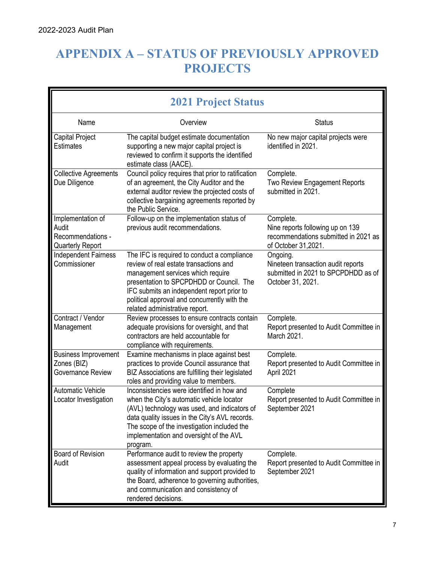# **APPENDIX A – STATUS OF PREVIOUSLY APPROVED PROJECTS**

| <b>2021 Project Status</b>                                                 |                                                                                                                                                                                                                                                                                                        |                                                                                                              |  |  |
|----------------------------------------------------------------------------|--------------------------------------------------------------------------------------------------------------------------------------------------------------------------------------------------------------------------------------------------------------------------------------------------------|--------------------------------------------------------------------------------------------------------------|--|--|
| Name                                                                       | Overview                                                                                                                                                                                                                                                                                               | <b>Status</b>                                                                                                |  |  |
| Capital Project<br><b>Estimates</b>                                        | The capital budget estimate documentation<br>supporting a new major capital project is<br>reviewed to confirm it supports the identified<br>estimate class (AACE).                                                                                                                                     | No new major capital projects were<br>identified in 2021.                                                    |  |  |
| <b>Collective Agreements</b><br>Due Diligence                              | Council policy requires that prior to ratification<br>of an agreement, the City Auditor and the<br>external auditor review the projected costs of<br>collective bargaining agreements reported by<br>the Public Service.                                                                               | Complete.<br>Two Review Engagement Reports<br>submitted in 2021.                                             |  |  |
| Implementation of<br>Audit<br>Recommendations -<br><b>Quarterly Report</b> | Follow-up on the implementation status of<br>previous audit recommendations.                                                                                                                                                                                                                           | Complete.<br>Nine reports following up on 139<br>recommendations submitted in 2021 as<br>of October 31,2021. |  |  |
| <b>Independent Fairness</b><br>Commissioner                                | The IFC is required to conduct a compliance<br>review of real estate transactions and<br>management services which require<br>presentation to SPCPDHDD or Council. The<br>IFC submits an independent report prior to<br>political approval and concurrently with the<br>related administrative report. | Ongoing.<br>Nineteen transaction audit reports<br>submitted in 2021 to SPCPDHDD as of<br>October 31, 2021.   |  |  |
| Contract / Vendor<br>Management                                            | Review processes to ensure contracts contain<br>adequate provisions for oversight, and that<br>contractors are held accountable for<br>compliance with requirements.                                                                                                                                   | Complete.<br>Report presented to Audit Committee in<br>March 2021.                                           |  |  |
| <b>Business Improvement</b><br>Zones (BIZ)<br>Governance Review            | Examine mechanisms in place against best<br>practices to provide Council assurance that<br>BIZ Associations are fulfilling their legislated<br>roles and providing value to members.                                                                                                                   | Complete.<br>Report presented to Audit Committee in<br>April 2021                                            |  |  |
| <b>Automatic Vehicle</b><br>Locator Investigation                          | Inconsistencies were identified in how and<br>when the City's automatic vehicle locator<br>(AVL) technology was used, and indicators of<br>data quality issues in the City's AVL records.<br>The scope of the investigation included the<br>implementation and oversight of the AVL<br>program.        | Complete<br>Report presented to Audit Committee in<br>September 2021                                         |  |  |
| <b>Board of Revision</b><br>Audit                                          | Performance audit to review the property<br>assessment appeal process by evaluating the<br>quality of information and support provided to<br>the Board, adherence to governing authorities,<br>and communication and consistency of<br>rendered decisions.                                             | Complete.<br>Report presented to Audit Committee in<br>September 2021                                        |  |  |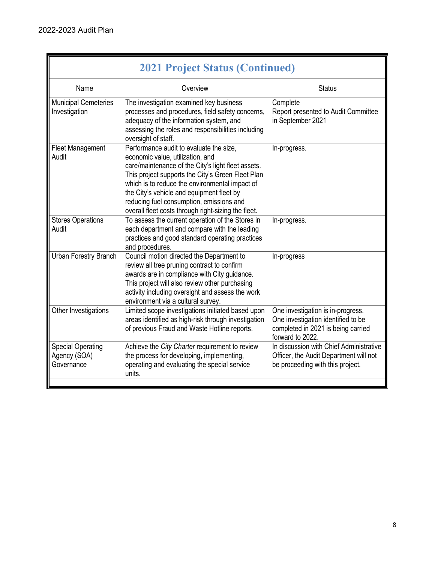| <b>2021 Project Status (Continued)</b>                 |                                                                                                                                                                                                                                                                                                                                                                                          |                                                                                                                                   |  |  |
|--------------------------------------------------------|------------------------------------------------------------------------------------------------------------------------------------------------------------------------------------------------------------------------------------------------------------------------------------------------------------------------------------------------------------------------------------------|-----------------------------------------------------------------------------------------------------------------------------------|--|--|
| Name                                                   | Overview                                                                                                                                                                                                                                                                                                                                                                                 | <b>Status</b>                                                                                                                     |  |  |
| <b>Municipal Cemeteries</b><br>Investigation           | The investigation examined key business<br>processes and procedures, field safety concerns,<br>adequacy of the information system, and<br>assessing the roles and responsibilities including<br>oversight of staff.                                                                                                                                                                      | Complete<br>Report presented to Audit Committee<br>in September 2021                                                              |  |  |
| <b>Fleet Management</b><br>Audit                       | Performance audit to evaluate the size.<br>economic value, utilization, and<br>care/maintenance of the City's light fleet assets.<br>This project supports the City's Green Fleet Plan<br>which is to reduce the environmental impact of<br>the City's vehicle and equipment fleet by<br>reducing fuel consumption, emissions and<br>overall fleet costs through right-sizing the fleet. | In-progress.                                                                                                                      |  |  |
| <b>Stores Operations</b><br>Audit                      | To assess the current operation of the Stores in<br>each department and compare with the leading<br>practices and good standard operating practices<br>and procedures.                                                                                                                                                                                                                   | In-progress.                                                                                                                      |  |  |
| Urban Forestry Branch                                  | Council motion directed the Department to<br>review all tree pruning contract to confirm<br>awards are in compliance with City guidance.<br>This project will also review other purchasing<br>activity including oversight and assess the work<br>environment via a cultural survey.                                                                                                     | In-progress                                                                                                                       |  |  |
| Other Investigations                                   | Limited scope investigations initiated based upon<br>areas identified as high-risk through investigation<br>of previous Fraud and Waste Hotline reports.                                                                                                                                                                                                                                 | One investigation is in-progress.<br>One investigation identified to be<br>completed in 2021 is being carried<br>forward to 2022. |  |  |
| <b>Special Operating</b><br>Agency (SOA)<br>Governance | Achieve the City Charter requirement to review<br>the process for developing, implementing,<br>operating and evaluating the special service<br>units.                                                                                                                                                                                                                                    | In discussion with Chief Administrative<br>Officer, the Audit Department will not<br>be proceeding with this project.             |  |  |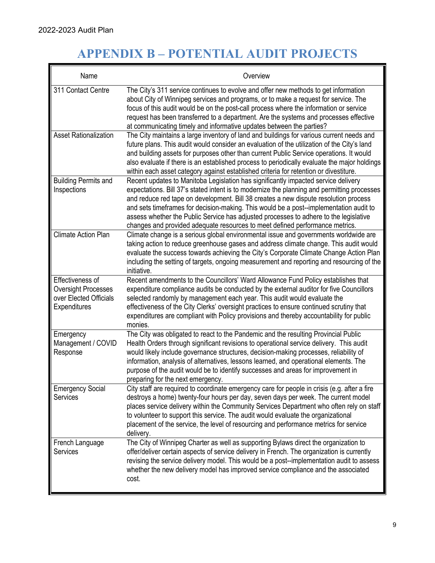r.

# **APPENDIX B – POTENTIAL AUDIT PROJECTS**

| Name                                                                                     | Overview                                                                                                                                                                                                                                                                                                                                                                                                                                                                                                                                     |
|------------------------------------------------------------------------------------------|----------------------------------------------------------------------------------------------------------------------------------------------------------------------------------------------------------------------------------------------------------------------------------------------------------------------------------------------------------------------------------------------------------------------------------------------------------------------------------------------------------------------------------------------|
| 311 Contact Centre                                                                       | The City's 311 service continues to evolve and offer new methods to get information<br>about City of Winnipeg services and programs, or to make a request for service. The<br>focus of this audit would be on the post-call process where the information or service<br>request has been transferred to a department. Are the systems and processes effective<br>at communicating timely and informative updates between the parties?                                                                                                        |
| <b>Asset Rationalization</b>                                                             | The City maintains a large inventory of land and buildings for various current needs and<br>future plans. This audit would consider an evaluation of the utilization of the City's land<br>and building assets for purposes other than current Public Service operations. It would<br>also evaluate if there is an established process to periodically evaluate the major holdings<br>within each asset category against established criteria for retention or divestiture.                                                                  |
| <b>Building Permits and</b><br>Inspections                                               | Recent updates to Manitoba Legislation has significantly impacted service delivery<br>expectations. Bill 37's stated intent is to modernize the planning and permitting processes<br>and reduce red tape on development. Bill 38 creates a new dispute resolution process<br>and sets timeframes for decision-making. This would be a post--implementation audit to<br>assess whether the Public Service has adjusted processes to adhere to the legislative<br>changes and provided adequate resources to meet defined performance metrics. |
| <b>Climate Action Plan</b>                                                               | Climate change is a serious global environmental issue and governments worldwide are<br>taking action to reduce greenhouse gases and address climate change. This audit would<br>evaluate the success towards achieving the City's Corporate Climate Change Action Plan<br>including the setting of targets, ongoing measurement and reporting and resourcing of the<br>initiative.                                                                                                                                                          |
| Effectiveness of<br><b>Oversight Processes</b><br>over Elected Officials<br>Expenditures | Recent amendments to the Councillors' Ward Allowance Fund Policy establishes that<br>expenditure compliance audits be conducted by the external auditor for five Councillors<br>selected randomly by management each year. This audit would evaluate the<br>effectiveness of the City Clerks' oversight practices to ensure continued scrutiny that<br>expenditures are compliant with Policy provisions and thereby accountability for public<br>monies.                                                                                    |
| Emergency<br>Management / COVID<br>Response                                              | The City was obligated to react to the Pandemic and the resulting Provincial Public<br>Health Orders through significant revisions to operational service delivery. This audit<br>would likely include governance structures, decision-making processes, reliability of<br>information, analysis of alternatives, lessons learned, and operational elements. The<br>purpose of the audit would be to identify successes and areas for improvement in<br>preparing for the next emergency.                                                    |
| <b>Emergency Social</b><br>Services                                                      | City staff are required to coordinate emergency care for people in crisis (e.g. after a fire<br>destroys a home) twenty-four hours per day, seven days per week. The current model<br>places service delivery within the Community Services Department who often rely on staff<br>to volunteer to support this service. The audit would evaluate the organizational<br>placement of the service, the level of resourcing and performance metrics for service<br>delivery.                                                                    |
| French Language<br>Services                                                              | The City of Winnipeg Charter as well as supporting Bylaws direct the organization to<br>offer/deliver certain aspects of service delivery in French. The organization is currently<br>revising the service delivery model. This would be a post--implementation audit to assess<br>whether the new delivery model has improved service compliance and the associated<br>cost.                                                                                                                                                                |